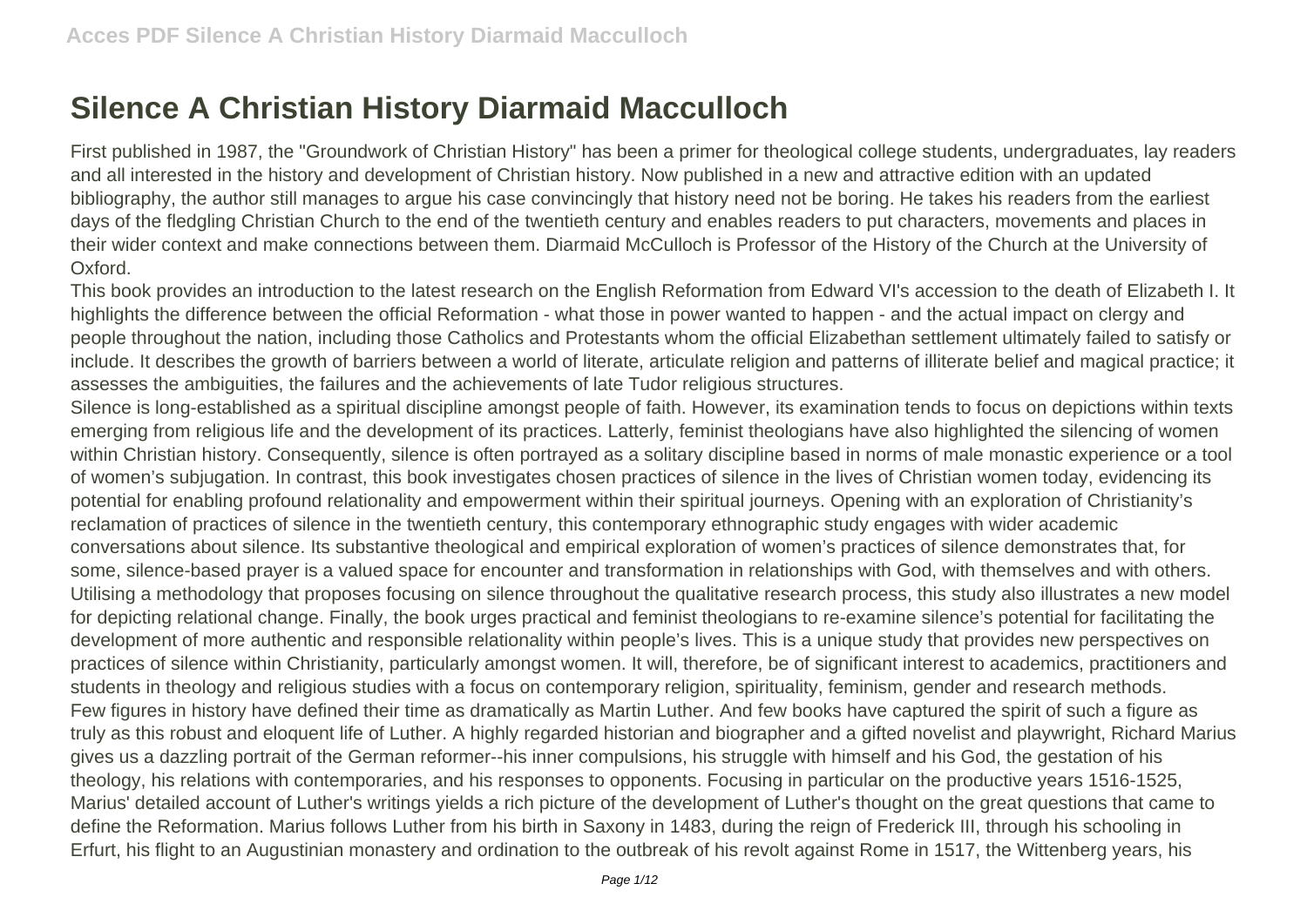## **Silence A Christian History Diarmaid Macculloch**

First published in 1987, the "Groundwork of Christian History" has been a primer for theological college students, undergraduates, lay readers and all interested in the history and development of Christian history. Now published in a new and attractive edition with an updated bibliography, the author still manages to argue his case convincingly that history need not be boring. He takes his readers from the earliest days of the fledgling Christian Church to the end of the twentieth century and enables readers to put characters, movements and places in their wider context and make connections between them. Diarmaid McCulloch is Professor of the History of the Church at the University of Oxford.

This book provides an introduction to the latest research on the English Reformation from Edward VI's accession to the death of Elizabeth I. It highlights the difference between the official Reformation - what those in power wanted to happen - and the actual impact on clergy and people throughout the nation, including those Catholics and Protestants whom the official Elizabethan settlement ultimately failed to satisfy or include. It describes the growth of barriers between a world of literate, articulate religion and patterns of illiterate belief and magical practice; it assesses the ambiguities, the failures and the achievements of late Tudor religious structures.

Silence is long-established as a spiritual discipline amongst people of faith. However, its examination tends to focus on depictions within texts emerging from religious life and the development of its practices. Latterly, feminist theologians have also highlighted the silencing of women within Christian history. Consequently, silence is often portrayed as a solitary discipline based in norms of male monastic experience or a tool of women's subjugation. In contrast, this book investigates chosen practices of silence in the lives of Christian women today, evidencing its potential for enabling profound relationality and empowerment within their spiritual journeys. Opening with an exploration of Christianity's reclamation of practices of silence in the twentieth century, this contemporary ethnographic study engages with wider academic conversations about silence. Its substantive theological and empirical exploration of women's practices of silence demonstrates that, for some, silence-based prayer is a valued space for encounter and transformation in relationships with God, with themselves and with others. Utilising a methodology that proposes focusing on silence throughout the qualitative research process, this study also illustrates a new model for depicting relational change. Finally, the book urges practical and feminist theologians to re-examine silence's potential for facilitating the development of more authentic and responsible relationality within people's lives. This is a unique study that provides new perspectives on practices of silence within Christianity, particularly amongst women. It will, therefore, be of significant interest to academics, practitioners and students in theology and religious studies with a focus on contemporary religion, spirituality, feminism, gender and research methods. Few figures in history have defined their time as dramatically as Martin Luther. And few books have captured the spirit of such a figure as truly as this robust and eloquent life of Luther. A highly regarded historian and biographer and a gifted novelist and playwright, Richard Marius gives us a dazzling portrait of the German reformer--his inner compulsions, his struggle with himself and his God, the gestation of his theology, his relations with contemporaries, and his responses to opponents. Focusing in particular on the productive years 1516-1525, Marius' detailed account of Luther's writings yields a rich picture of the development of Luther's thought on the great questions that came to define the Reformation. Marius follows Luther from his birth in Saxony in 1483, during the reign of Frederick III, through his schooling in Erfurt, his flight to an Augustinian monastery and ordination to the outbreak of his revolt against Rome in 1517, the Wittenberg years, his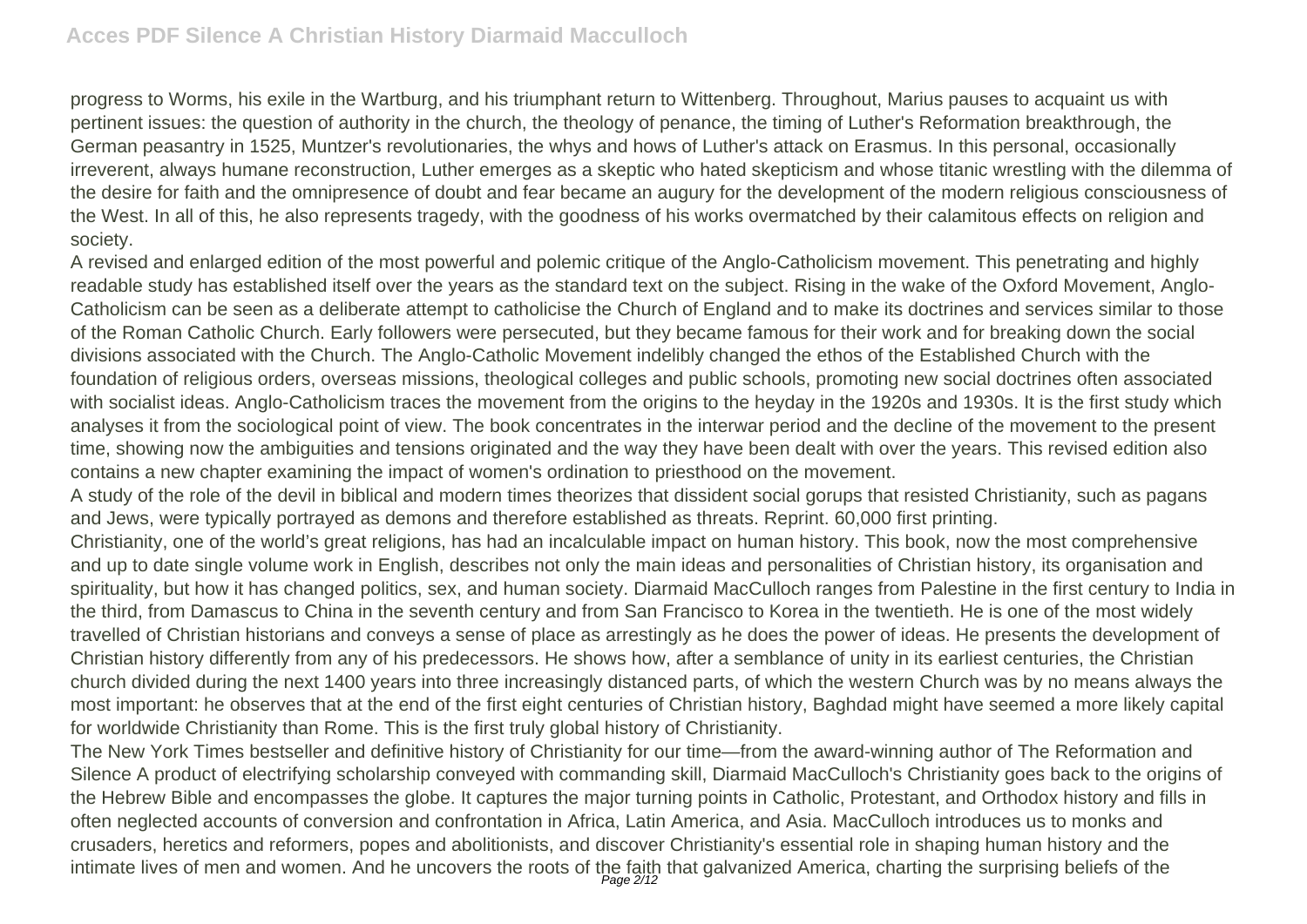progress to Worms, his exile in the Wartburg, and his triumphant return to Wittenberg. Throughout, Marius pauses to acquaint us with pertinent issues: the question of authority in the church, the theology of penance, the timing of Luther's Reformation breakthrough, the German peasantry in 1525, Muntzer's revolutionaries, the whys and hows of Luther's attack on Erasmus. In this personal, occasionally irreverent, always humane reconstruction, Luther emerges as a skeptic who hated skepticism and whose titanic wrestling with the dilemma of the desire for faith and the omnipresence of doubt and fear became an augury for the development of the modern religious consciousness of the West. In all of this, he also represents tragedy, with the goodness of his works overmatched by their calamitous effects on religion and society.

A revised and enlarged edition of the most powerful and polemic critique of the Anglo-Catholicism movement. This penetrating and highly readable study has established itself over the years as the standard text on the subject. Rising in the wake of the Oxford Movement, Anglo-Catholicism can be seen as a deliberate attempt to catholicise the Church of England and to make its doctrines and services similar to those of the Roman Catholic Church. Early followers were persecuted, but they became famous for their work and for breaking down the social divisions associated with the Church. The Anglo-Catholic Movement indelibly changed the ethos of the Established Church with the foundation of religious orders, overseas missions, theological colleges and public schools, promoting new social doctrines often associated with socialist ideas. Anglo-Catholicism traces the movement from the origins to the heyday in the 1920s and 1930s. It is the first study which analyses it from the sociological point of view. The book concentrates in the interwar period and the decline of the movement to the present time, showing now the ambiguities and tensions originated and the way they have been dealt with over the years. This revised edition also contains a new chapter examining the impact of women's ordination to priesthood on the movement.

A study of the role of the devil in biblical and modern times theorizes that dissident social gorups that resisted Christianity, such as pagans and Jews, were typically portrayed as demons and therefore established as threats. Reprint. 60,000 first printing.

Christianity, one of the world's great religions, has had an incalculable impact on human history. This book, now the most comprehensive and up to date single volume work in English, describes not only the main ideas and personalities of Christian history, its organisation and spirituality, but how it has changed politics, sex, and human society. Diarmaid MacCulloch ranges from Palestine in the first century to India in the third, from Damascus to China in the seventh century and from San Francisco to Korea in the twentieth. He is one of the most widely travelled of Christian historians and conveys a sense of place as arrestingly as he does the power of ideas. He presents the development of Christian history differently from any of his predecessors. He shows how, after a semblance of unity in its earliest centuries, the Christian church divided during the next 1400 years into three increasingly distanced parts, of which the western Church was by no means always the most important: he observes that at the end of the first eight centuries of Christian history, Baghdad might have seemed a more likely capital for worldwide Christianity than Rome. This is the first truly global history of Christianity.

The New York Times bestseller and definitive history of Christianity for our time—from the award-winning author of The Reformation and Silence A product of electrifying scholarship conveyed with commanding skill, Diarmaid MacCulloch's Christianity goes back to the origins of the Hebrew Bible and encompasses the globe. It captures the major turning points in Catholic, Protestant, and Orthodox history and fills in often neglected accounts of conversion and confrontation in Africa, Latin America, and Asia. MacCulloch introduces us to monks and crusaders, heretics and reformers, popes and abolitionists, and discover Christianity's essential role in shaping human history and the intimate lives of men and women. And he uncovers the roots of the faith that galvanized America, charting the surprising beliefs of the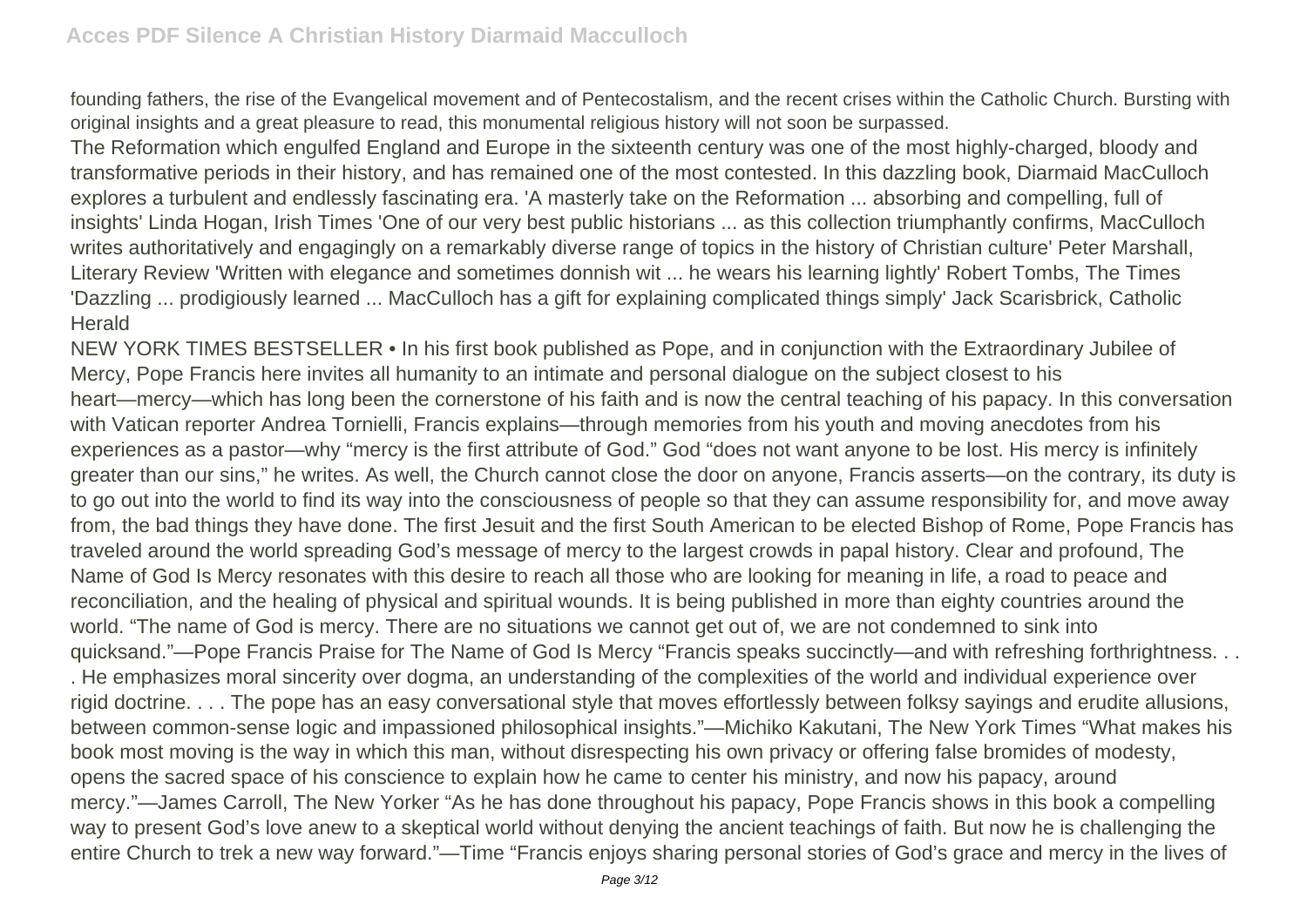founding fathers, the rise of the Evangelical movement and of Pentecostalism, and the recent crises within the Catholic Church. Bursting with original insights and a great pleasure to read, this monumental religious history will not soon be surpassed.

The Reformation which engulfed England and Europe in the sixteenth century was one of the most highly-charged, bloody and transformative periods in their history, and has remained one of the most contested. In this dazzling book, Diarmaid MacCulloch explores a turbulent and endlessly fascinating era. 'A masterly take on the Reformation ... absorbing and compelling, full of insights' Linda Hogan, Irish Times 'One of our very best public historians ... as this collection triumphantly confirms, MacCulloch writes authoritatively and engagingly on a remarkably diverse range of topics in the history of Christian culture' Peter Marshall, Literary Review 'Written with elegance and sometimes donnish wit ... he wears his learning lightly' Robert Tombs, The Times 'Dazzling ... prodigiously learned ... MacCulloch has a gift for explaining complicated things simply' Jack Scarisbrick, Catholic **Herald** 

NEW YORK TIMES BESTSELLER • In his first book published as Pope, and in conjunction with the Extraordinary Jubilee of Mercy, Pope Francis here invites all humanity to an intimate and personal dialogue on the subject closest to his heart—mercy—which has long been the cornerstone of his faith and is now the central teaching of his papacy. In this conversation with Vatican reporter Andrea Tornielli, Francis explains—through memories from his youth and moving anecdotes from his experiences as a pastor—why "mercy is the first attribute of God." God "does not want anyone to be lost. His mercy is infinitely greater than our sins," he writes. As well, the Church cannot close the door on anyone, Francis asserts—on the contrary, its duty is to go out into the world to find its way into the consciousness of people so that they can assume responsibility for, and move away from, the bad things they have done. The first Jesuit and the first South American to be elected Bishop of Rome, Pope Francis has traveled around the world spreading God's message of mercy to the largest crowds in papal history. Clear and profound, The Name of God Is Mercy resonates with this desire to reach all those who are looking for meaning in life, a road to peace and reconciliation, and the healing of physical and spiritual wounds. It is being published in more than eighty countries around the world. "The name of God is mercy. There are no situations we cannot get out of, we are not condemned to sink into quicksand."—Pope Francis Praise for The Name of God Is Mercy "Francis speaks succinctly—and with refreshing forthrightness. . . . He emphasizes moral sincerity over dogma, an understanding of the complexities of the world and individual experience over rigid doctrine. . . . The pope has an easy conversational style that moves effortlessly between folksy sayings and erudite allusions, between common-sense logic and impassioned philosophical insights."—Michiko Kakutani, The New York Times "What makes his book most moving is the way in which this man, without disrespecting his own privacy or offering false bromides of modesty, opens the sacred space of his conscience to explain how he came to center his ministry, and now his papacy, around mercy."—James Carroll, The New Yorker "As he has done throughout his papacy, Pope Francis shows in this book a compelling way to present God's love anew to a skeptical world without denying the ancient teachings of faith. But now he is challenging the entire Church to trek a new way forward."—Time "Francis enjoys sharing personal stories of God's grace and mercy in the lives of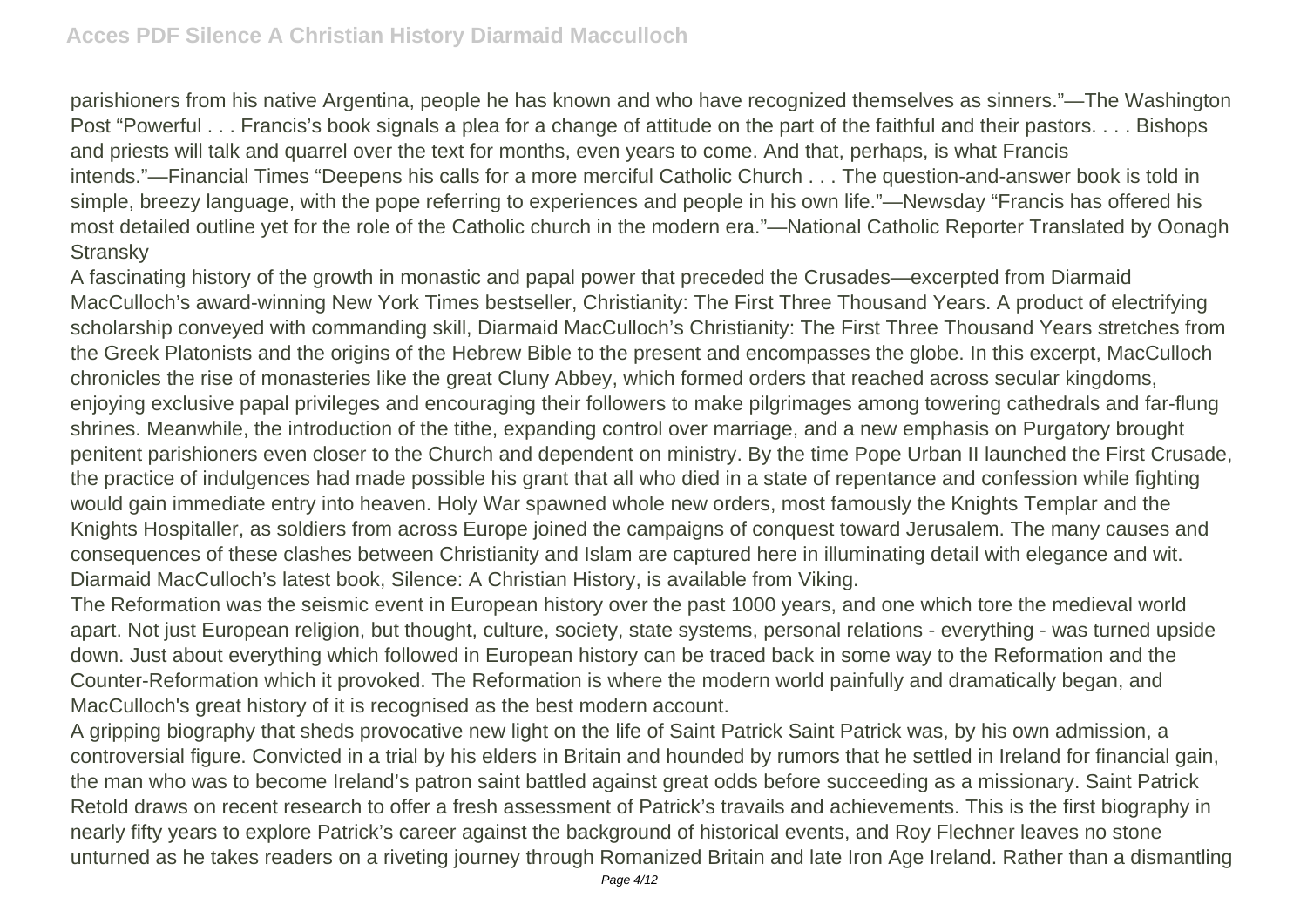parishioners from his native Argentina, people he has known and who have recognized themselves as sinners."—The Washington Post "Powerful . . . Francis's book signals a plea for a change of attitude on the part of the faithful and their pastors. . . . Bishops and priests will talk and quarrel over the text for months, even years to come. And that, perhaps, is what Francis intends."—Financial Times "Deepens his calls for a more merciful Catholic Church . . . The question-and-answer book is told in simple, breezy language, with the pope referring to experiences and people in his own life."—Newsday "Francis has offered his most detailed outline yet for the role of the Catholic church in the modern era."—National Catholic Reporter Translated by Oonagh **Stransky** 

A fascinating history of the growth in monastic and papal power that preceded the Crusades—excerpted from Diarmaid MacCulloch's award-winning New York Times bestseller, Christianity: The First Three Thousand Years. A product of electrifying scholarship conveyed with commanding skill, Diarmaid MacCulloch's Christianity: The First Three Thousand Years stretches from the Greek Platonists and the origins of the Hebrew Bible to the present and encompasses the globe. In this excerpt, MacCulloch chronicles the rise of monasteries like the great Cluny Abbey, which formed orders that reached across secular kingdoms, enjoying exclusive papal privileges and encouraging their followers to make pilgrimages among towering cathedrals and far-flung shrines. Meanwhile, the introduction of the tithe, expanding control over marriage, and a new emphasis on Purgatory brought penitent parishioners even closer to the Church and dependent on ministry. By the time Pope Urban II launched the First Crusade, the practice of indulgences had made possible his grant that all who died in a state of repentance and confession while fighting would gain immediate entry into heaven. Holy War spawned whole new orders, most famously the Knights Templar and the Knights Hospitaller, as soldiers from across Europe joined the campaigns of conquest toward Jerusalem. The many causes and consequences of these clashes between Christianity and Islam are captured here in illuminating detail with elegance and wit. Diarmaid MacCulloch's latest book, Silence: A Christian History, is available from Viking.

The Reformation was the seismic event in European history over the past 1000 years, and one which tore the medieval world apart. Not just European religion, but thought, culture, society, state systems, personal relations - everything - was turned upside down. Just about everything which followed in European history can be traced back in some way to the Reformation and the Counter-Reformation which it provoked. The Reformation is where the modern world painfully and dramatically began, and MacCulloch's great history of it is recognised as the best modern account.

A gripping biography that sheds provocative new light on the life of Saint Patrick Saint Patrick was, by his own admission, a controversial figure. Convicted in a trial by his elders in Britain and hounded by rumors that he settled in Ireland for financial gain, the man who was to become Ireland's patron saint battled against great odds before succeeding as a missionary. Saint Patrick Retold draws on recent research to offer a fresh assessment of Patrick's travails and achievements. This is the first biography in nearly fifty years to explore Patrick's career against the background of historical events, and Roy Flechner leaves no stone unturned as he takes readers on a riveting journey through Romanized Britain and late Iron Age Ireland. Rather than a dismantling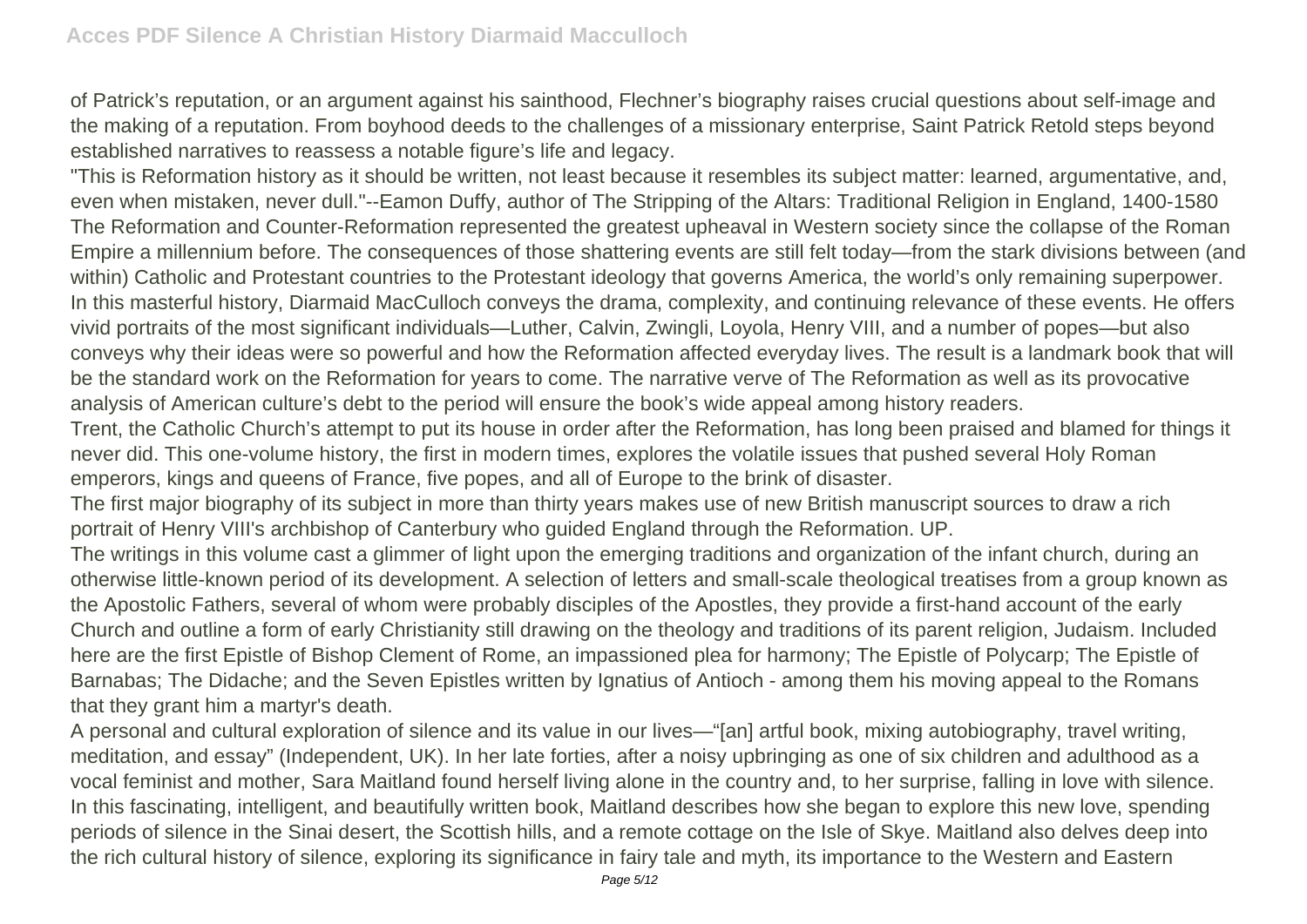of Patrick's reputation, or an argument against his sainthood, Flechner's biography raises crucial questions about self-image and the making of a reputation. From boyhood deeds to the challenges of a missionary enterprise, Saint Patrick Retold steps beyond established narratives to reassess a notable figure's life and legacy.

"This is Reformation history as it should be written, not least because it resembles its subject matter: learned, argumentative, and, even when mistaken, never dull."--Eamon Duffy, author of The Stripping of the Altars: Traditional Religion in England, 1400-1580 The Reformation and Counter-Reformation represented the greatest upheaval in Western society since the collapse of the Roman Empire a millennium before. The consequences of those shattering events are still felt today—from the stark divisions between (and within) Catholic and Protestant countries to the Protestant ideology that governs America, the world's only remaining superpower. In this masterful history, Diarmaid MacCulloch conveys the drama, complexity, and continuing relevance of these events. He offers vivid portraits of the most significant individuals—Luther, Calvin, Zwingli, Loyola, Henry VIII, and a number of popes—but also conveys why their ideas were so powerful and how the Reformation affected everyday lives. The result is a landmark book that will be the standard work on the Reformation for years to come. The narrative verve of The Reformation as well as its provocative analysis of American culture's debt to the period will ensure the book's wide appeal among history readers.

Trent, the Catholic Church's attempt to put its house in order after the Reformation, has long been praised and blamed for things it never did. This one-volume history, the first in modern times, explores the volatile issues that pushed several Holy Roman emperors, kings and queens of France, five popes, and all of Europe to the brink of disaster.

The first major biography of its subject in more than thirty years makes use of new British manuscript sources to draw a rich portrait of Henry VIII's archbishop of Canterbury who guided England through the Reformation. UP.

The writings in this volume cast a glimmer of light upon the emerging traditions and organization of the infant church, during an otherwise little-known period of its development. A selection of letters and small-scale theological treatises from a group known as the Apostolic Fathers, several of whom were probably disciples of the Apostles, they provide a first-hand account of the early Church and outline a form of early Christianity still drawing on the theology and traditions of its parent religion, Judaism. Included here are the first Epistle of Bishop Clement of Rome, an impassioned plea for harmony; The Epistle of Polycarp; The Epistle of Barnabas; The Didache; and the Seven Epistles written by Ignatius of Antioch - among them his moving appeal to the Romans that they grant him a martyr's death.

A personal and cultural exploration of silence and its value in our lives—"[an] artful book, mixing autobiography, travel writing, meditation, and essay" (Independent, UK). In her late forties, after a noisy upbringing as one of six children and adulthood as a vocal feminist and mother, Sara Maitland found herself living alone in the country and, to her surprise, falling in love with silence. In this fascinating, intelligent, and beautifully written book, Maitland describes how she began to explore this new love, spending periods of silence in the Sinai desert, the Scottish hills, and a remote cottage on the Isle of Skye. Maitland also delves deep into the rich cultural history of silence, exploring its significance in fairy tale and myth, its importance to the Western and Eastern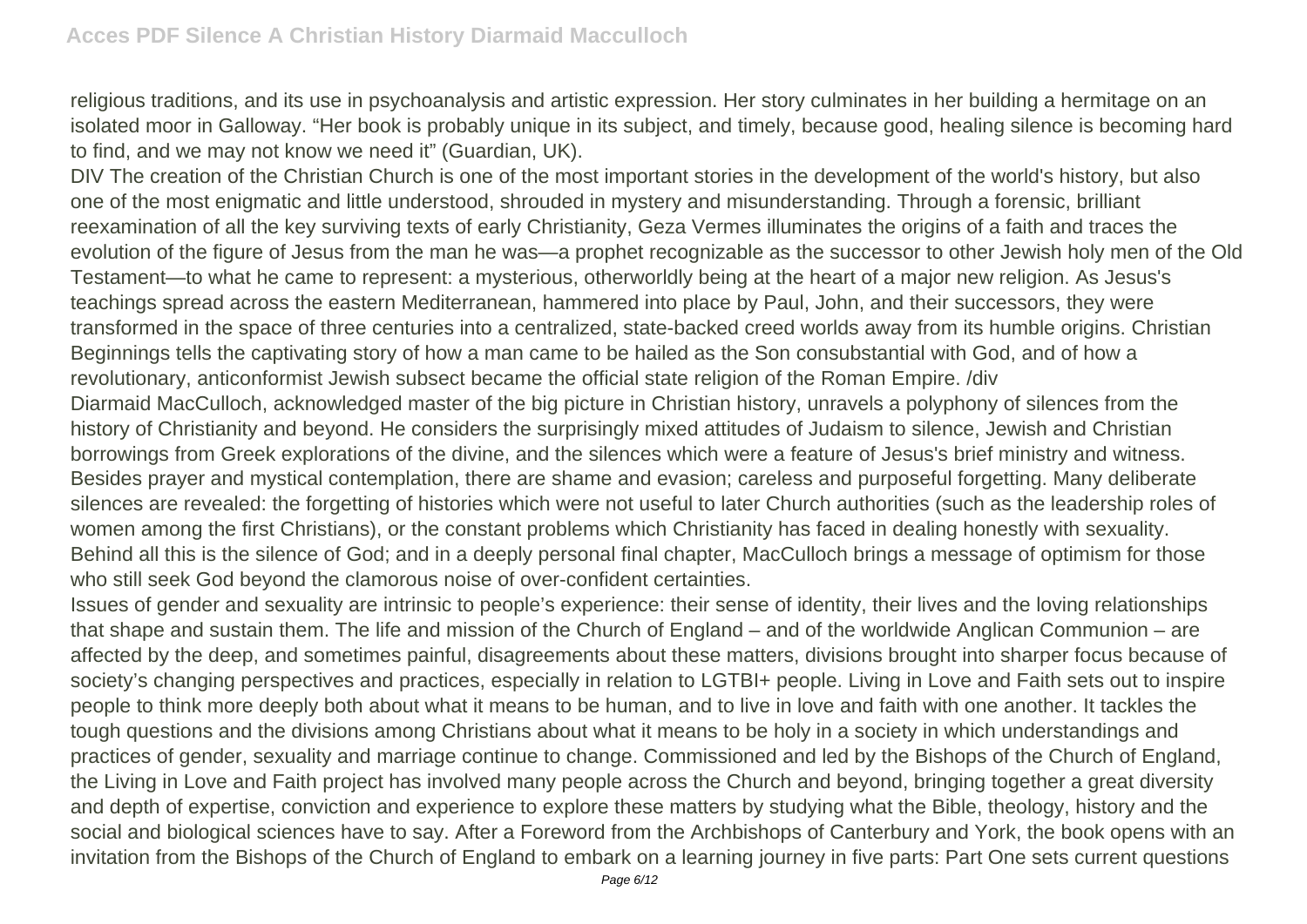religious traditions, and its use in psychoanalysis and artistic expression. Her story culminates in her building a hermitage on an isolated moor in Galloway. "Her book is probably unique in its subject, and timely, because good, healing silence is becoming hard to find, and we may not know we need it" (Guardian, UK).

DIV The creation of the Christian Church is one of the most important stories in the development of the world's history, but also one of the most enigmatic and little understood, shrouded in mystery and misunderstanding. Through a forensic, brilliant reexamination of all the key surviving texts of early Christianity, Geza Vermes illuminates the origins of a faith and traces the evolution of the figure of Jesus from the man he was—a prophet recognizable as the successor to other Jewish holy men of the Old Testament—to what he came to represent: a mysterious, otherworldly being at the heart of a major new religion. As Jesus's teachings spread across the eastern Mediterranean, hammered into place by Paul, John, and their successors, they were transformed in the space of three centuries into a centralized, state-backed creed worlds away from its humble origins. Christian Beginnings tells the captivating story of how a man came to be hailed as the Son consubstantial with God, and of how a revolutionary, anticonformist Jewish subsect became the official state religion of the Roman Empire. /div Diarmaid MacCulloch, acknowledged master of the big picture in Christian history, unravels a polyphony of silences from the history of Christianity and beyond. He considers the surprisingly mixed attitudes of Judaism to silence, Jewish and Christian borrowings from Greek explorations of the divine, and the silences which were a feature of Jesus's brief ministry and witness. Besides prayer and mystical contemplation, there are shame and evasion; careless and purposeful forgetting. Many deliberate silences are revealed: the forgetting of histories which were not useful to later Church authorities (such as the leadership roles of women among the first Christians), or the constant problems which Christianity has faced in dealing honestly with sexuality. Behind all this is the silence of God; and in a deeply personal final chapter, MacCulloch brings a message of optimism for those who still seek God beyond the clamorous noise of over-confident certainties.

Issues of gender and sexuality are intrinsic to people's experience: their sense of identity, their lives and the loving relationships that shape and sustain them. The life and mission of the Church of England – and of the worldwide Anglican Communion – are affected by the deep, and sometimes painful, disagreements about these matters, divisions brought into sharper focus because of society's changing perspectives and practices, especially in relation to LGTBI+ people. Living in Love and Faith sets out to inspire people to think more deeply both about what it means to be human, and to live in love and faith with one another. It tackles the tough questions and the divisions among Christians about what it means to be holy in a society in which understandings and practices of gender, sexuality and marriage continue to change. Commissioned and led by the Bishops of the Church of England, the Living in Love and Faith project has involved many people across the Church and beyond, bringing together a great diversity and depth of expertise, conviction and experience to explore these matters by studying what the Bible, theology, history and the social and biological sciences have to say. After a Foreword from the Archbishops of Canterbury and York, the book opens with an invitation from the Bishops of the Church of England to embark on a learning journey in five parts: Part One sets current questions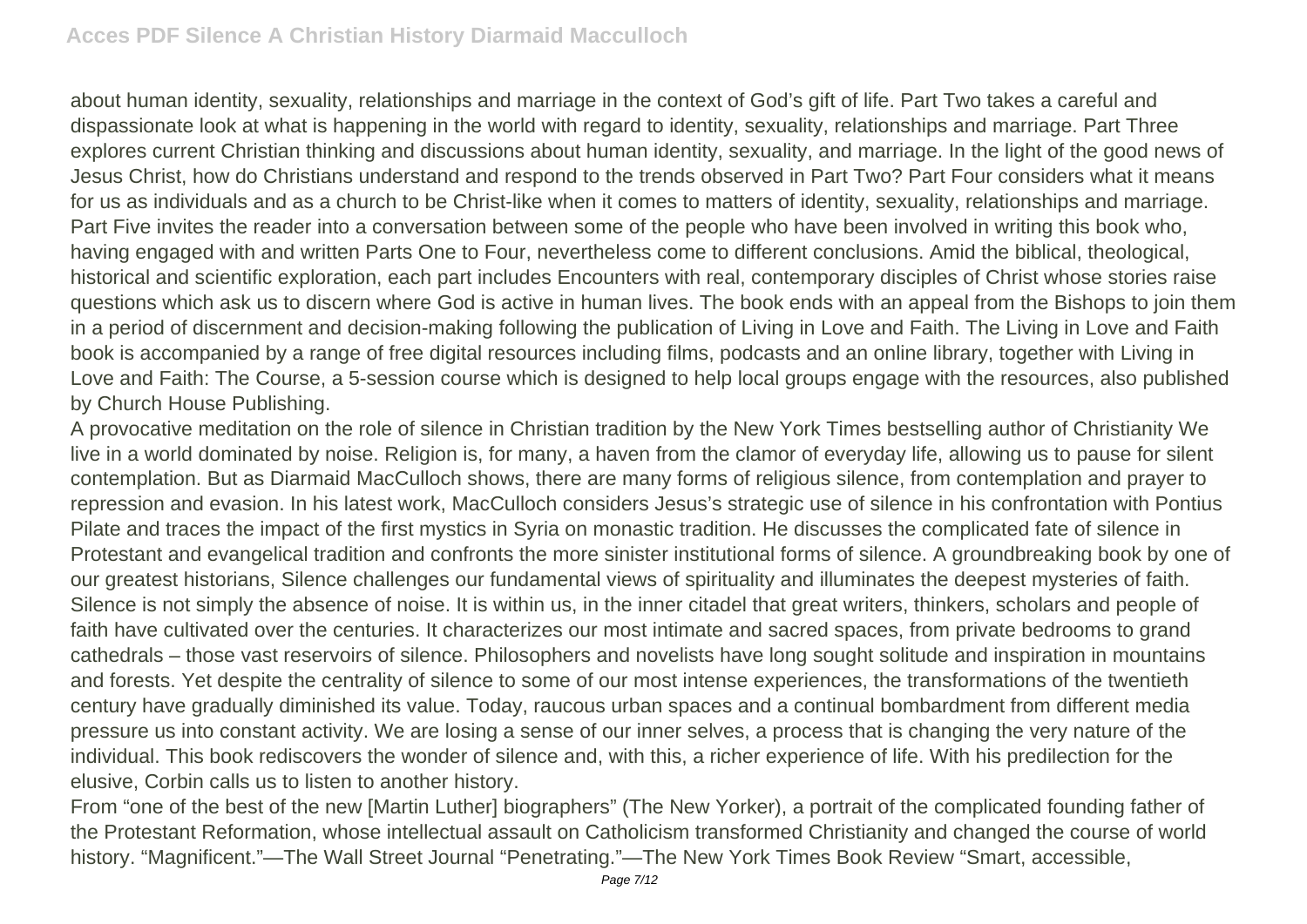about human identity, sexuality, relationships and marriage in the context of God's gift of life. Part Two takes a careful and dispassionate look at what is happening in the world with regard to identity, sexuality, relationships and marriage. Part Three explores current Christian thinking and discussions about human identity, sexuality, and marriage. In the light of the good news of Jesus Christ, how do Christians understand and respond to the trends observed in Part Two? Part Four considers what it means for us as individuals and as a church to be Christ-like when it comes to matters of identity, sexuality, relationships and marriage. Part Five invites the reader into a conversation between some of the people who have been involved in writing this book who, having engaged with and written Parts One to Four, nevertheless come to different conclusions. Amid the biblical, theological, historical and scientific exploration, each part includes Encounters with real, contemporary disciples of Christ whose stories raise questions which ask us to discern where God is active in human lives. The book ends with an appeal from the Bishops to join them in a period of discernment and decision-making following the publication of Living in Love and Faith. The Living in Love and Faith book is accompanied by a range of free digital resources including films, podcasts and an online library, together with Living in Love and Faith: The Course, a 5-session course which is designed to help local groups engage with the resources, also published by Church House Publishing.

A provocative meditation on the role of silence in Christian tradition by the New York Times bestselling author of Christianity We live in a world dominated by noise. Religion is, for many, a haven from the clamor of everyday life, allowing us to pause for silent contemplation. But as Diarmaid MacCulloch shows, there are many forms of religious silence, from contemplation and prayer to repression and evasion. In his latest work, MacCulloch considers Jesus's strategic use of silence in his confrontation with Pontius Pilate and traces the impact of the first mystics in Syria on monastic tradition. He discusses the complicated fate of silence in Protestant and evangelical tradition and confronts the more sinister institutional forms of silence. A groundbreaking book by one of our greatest historians, Silence challenges our fundamental views of spirituality and illuminates the deepest mysteries of faith. Silence is not simply the absence of noise. It is within us, in the inner citadel that great writers, thinkers, scholars and people of faith have cultivated over the centuries. It characterizes our most intimate and sacred spaces, from private bedrooms to grand cathedrals – those vast reservoirs of silence. Philosophers and novelists have long sought solitude and inspiration in mountains and forests. Yet despite the centrality of silence to some of our most intense experiences, the transformations of the twentieth century have gradually diminished its value. Today, raucous urban spaces and a continual bombardment from different media pressure us into constant activity. We are losing a sense of our inner selves, a process that is changing the very nature of the individual. This book rediscovers the wonder of silence and, with this, a richer experience of life. With his predilection for the elusive, Corbin calls us to listen to another history.

From "one of the best of the new [Martin Luther] biographers" (The New Yorker), a portrait of the complicated founding father of the Protestant Reformation, whose intellectual assault on Catholicism transformed Christianity and changed the course of world history. "Magnificent."—The Wall Street Journal "Penetrating."—The New York Times Book Review "Smart, accessible,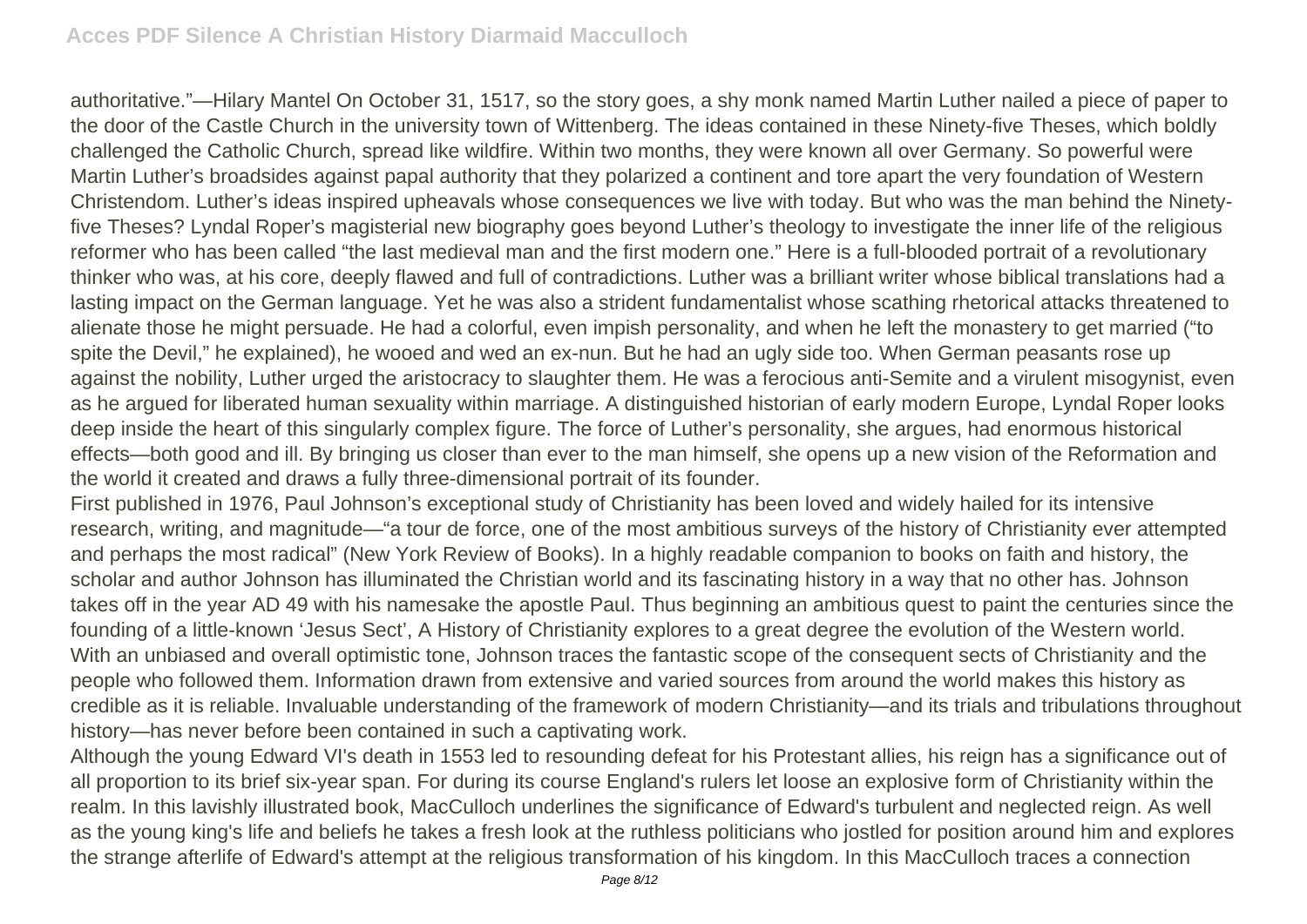authoritative."—Hilary Mantel On October 31, 1517, so the story goes, a shy monk named Martin Luther nailed a piece of paper to the door of the Castle Church in the university town of Wittenberg. The ideas contained in these Ninety-five Theses, which boldly challenged the Catholic Church, spread like wildfire. Within two months, they were known all over Germany. So powerful were Martin Luther's broadsides against papal authority that they polarized a continent and tore apart the very foundation of Western Christendom. Luther's ideas inspired upheavals whose consequences we live with today. But who was the man behind the Ninetyfive Theses? Lyndal Roper's magisterial new biography goes beyond Luther's theology to investigate the inner life of the religious reformer who has been called "the last medieval man and the first modern one." Here is a full-blooded portrait of a revolutionary thinker who was, at his core, deeply flawed and full of contradictions. Luther was a brilliant writer whose biblical translations had a lasting impact on the German language. Yet he was also a strident fundamentalist whose scathing rhetorical attacks threatened to alienate those he might persuade. He had a colorful, even impish personality, and when he left the monastery to get married ("to spite the Devil," he explained), he wooed and wed an ex-nun. But he had an ugly side too. When German peasants rose up against the nobility, Luther urged the aristocracy to slaughter them. He was a ferocious anti-Semite and a virulent misogynist, even as he argued for liberated human sexuality within marriage. A distinguished historian of early modern Europe, Lyndal Roper looks deep inside the heart of this singularly complex figure. The force of Luther's personality, she argues, had enormous historical effects—both good and ill. By bringing us closer than ever to the man himself, she opens up a new vision of the Reformation and the world it created and draws a fully three-dimensional portrait of its founder.

First published in 1976, Paul Johnson's exceptional study of Christianity has been loved and widely hailed for its intensive research, writing, and magnitude—"a tour de force, one of the most ambitious surveys of the history of Christianity ever attempted and perhaps the most radical" (New York Review of Books). In a highly readable companion to books on faith and history, the scholar and author Johnson has illuminated the Christian world and its fascinating history in a way that no other has. Johnson takes off in the year AD 49 with his namesake the apostle Paul. Thus beginning an ambitious quest to paint the centuries since the founding of a little-known 'Jesus Sect', A History of Christianity explores to a great degree the evolution of the Western world. With an unbiased and overall optimistic tone, Johnson traces the fantastic scope of the consequent sects of Christianity and the people who followed them. Information drawn from extensive and varied sources from around the world makes this history as credible as it is reliable. Invaluable understanding of the framework of modern Christianity—and its trials and tribulations throughout history—has never before been contained in such a captivating work.

Although the young Edward VI's death in 1553 led to resounding defeat for his Protestant allies, his reign has a significance out of all proportion to its brief six-year span. For during its course England's rulers let loose an explosive form of Christianity within the realm. In this lavishly illustrated book, MacCulloch underlines the significance of Edward's turbulent and neglected reign. As well as the young king's life and beliefs he takes a fresh look at the ruthless politicians who jostled for position around him and explores the strange afterlife of Edward's attempt at the religious transformation of his kingdom. In this MacCulloch traces a connection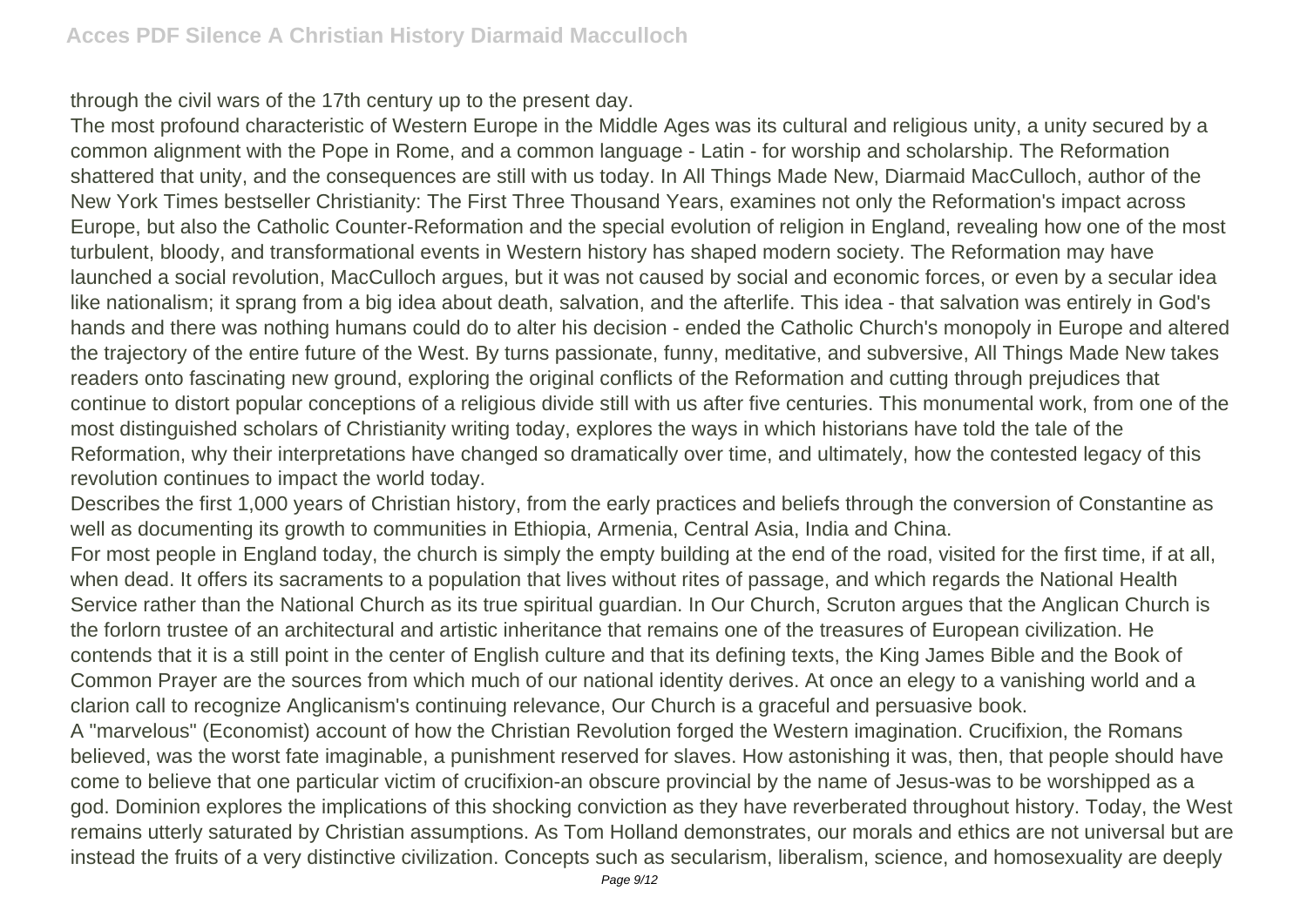through the civil wars of the 17th century up to the present day.

The most profound characteristic of Western Europe in the Middle Ages was its cultural and religious unity, a unity secured by a common alignment with the Pope in Rome, and a common language - Latin - for worship and scholarship. The Reformation shattered that unity, and the consequences are still with us today. In All Things Made New, Diarmaid MacCulloch, author of the New York Times bestseller Christianity: The First Three Thousand Years, examines not only the Reformation's impact across Europe, but also the Catholic Counter-Reformation and the special evolution of religion in England, revealing how one of the most turbulent, bloody, and transformational events in Western history has shaped modern society. The Reformation may have launched a social revolution, MacCulloch argues, but it was not caused by social and economic forces, or even by a secular idea like nationalism; it sprang from a big idea about death, salvation, and the afterlife. This idea - that salvation was entirely in God's hands and there was nothing humans could do to alter his decision - ended the Catholic Church's monopoly in Europe and altered the trajectory of the entire future of the West. By turns passionate, funny, meditative, and subversive, All Things Made New takes readers onto fascinating new ground, exploring the original conflicts of the Reformation and cutting through prejudices that continue to distort popular conceptions of a religious divide still with us after five centuries. This monumental work, from one of the most distinguished scholars of Christianity writing today, explores the ways in which historians have told the tale of the Reformation, why their interpretations have changed so dramatically over time, and ultimately, how the contested legacy of this revolution continues to impact the world today.

Describes the first 1,000 years of Christian history, from the early practices and beliefs through the conversion of Constantine as well as documenting its growth to communities in Ethiopia, Armenia, Central Asia, India and China.

For most people in England today, the church is simply the empty building at the end of the road, visited for the first time, if at all, when dead. It offers its sacraments to a population that lives without rites of passage, and which regards the National Health Service rather than the National Church as its true spiritual guardian. In Our Church, Scruton argues that the Anglican Church is the forlorn trustee of an architectural and artistic inheritance that remains one of the treasures of European civilization. He contends that it is a still point in the center of English culture and that its defining texts, the King James Bible and the Book of Common Prayer are the sources from which much of our national identity derives. At once an elegy to a vanishing world and a clarion call to recognize Anglicanism's continuing relevance, Our Church is a graceful and persuasive book.

A "marvelous" (Economist) account of how the Christian Revolution forged the Western imagination. Crucifixion, the Romans believed, was the worst fate imaginable, a punishment reserved for slaves. How astonishing it was, then, that people should have come to believe that one particular victim of crucifixion-an obscure provincial by the name of Jesus-was to be worshipped as a god. Dominion explores the implications of this shocking conviction as they have reverberated throughout history. Today, the West remains utterly saturated by Christian assumptions. As Tom Holland demonstrates, our morals and ethics are not universal but are instead the fruits of a very distinctive civilization. Concepts such as secularism, liberalism, science, and homosexuality are deeply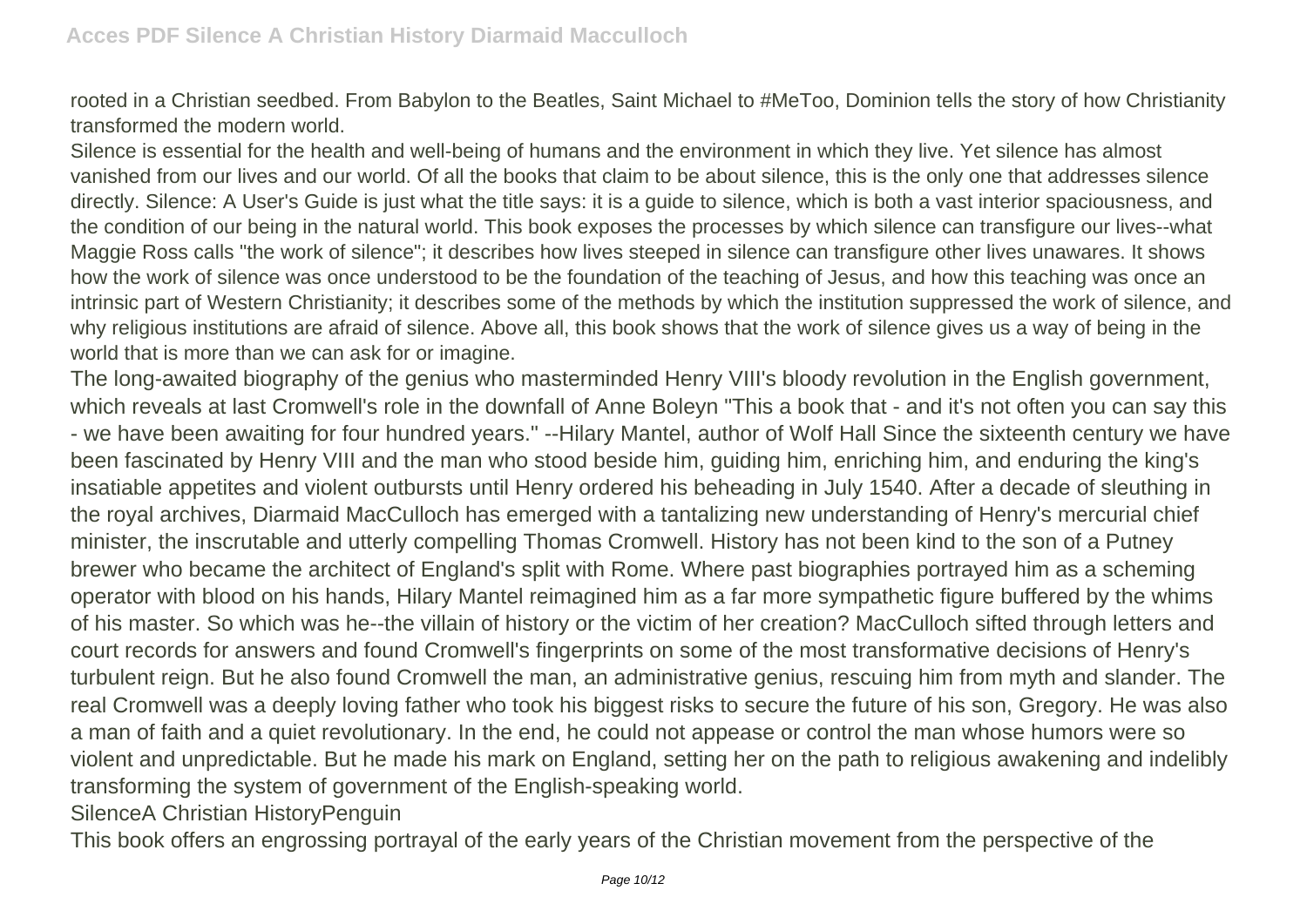rooted in a Christian seedbed. From Babylon to the Beatles, Saint Michael to #MeToo, Dominion tells the story of how Christianity transformed the modern world.

Silence is essential for the health and well-being of humans and the environment in which they live. Yet silence has almost vanished from our lives and our world. Of all the books that claim to be about silence, this is the only one that addresses silence directly. Silence: A User's Guide is just what the title says: it is a guide to silence, which is both a vast interior spaciousness, and the condition of our being in the natural world. This book exposes the processes by which silence can transfigure our lives--what Maggie Ross calls "the work of silence"; it describes how lives steeped in silence can transfigure other lives unawares. It shows how the work of silence was once understood to be the foundation of the teaching of Jesus, and how this teaching was once an intrinsic part of Western Christianity; it describes some of the methods by which the institution suppressed the work of silence, and why religious institutions are afraid of silence. Above all, this book shows that the work of silence gives us a way of being in the world that is more than we can ask for or imagine.

The long-awaited biography of the genius who masterminded Henry VIII's bloody revolution in the English government, which reveals at last Cromwell's role in the downfall of Anne Boleyn "This a book that - and it's not often you can say this - we have been awaiting for four hundred years." --Hilary Mantel, author of Wolf Hall Since the sixteenth century we have been fascinated by Henry VIII and the man who stood beside him, guiding him, enriching him, and enduring the king's insatiable appetites and violent outbursts until Henry ordered his beheading in July 1540. After a decade of sleuthing in the royal archives, Diarmaid MacCulloch has emerged with a tantalizing new understanding of Henry's mercurial chief minister, the inscrutable and utterly compelling Thomas Cromwell. History has not been kind to the son of a Putney brewer who became the architect of England's split with Rome. Where past biographies portrayed him as a scheming operator with blood on his hands, Hilary Mantel reimagined him as a far more sympathetic figure buffered by the whims of his master. So which was he--the villain of history or the victim of her creation? MacCulloch sifted through letters and court records for answers and found Cromwell's fingerprints on some of the most transformative decisions of Henry's turbulent reign. But he also found Cromwell the man, an administrative genius, rescuing him from myth and slander. The real Cromwell was a deeply loving father who took his biggest risks to secure the future of his son, Gregory. He was also a man of faith and a quiet revolutionary. In the end, he could not appease or control the man whose humors were so violent and unpredictable. But he made his mark on England, setting her on the path to religious awakening and indelibly transforming the system of government of the English-speaking world.

SilenceA Christian HistoryPenguin

This book offers an engrossing portrayal of the early years of the Christian movement from the perspective of the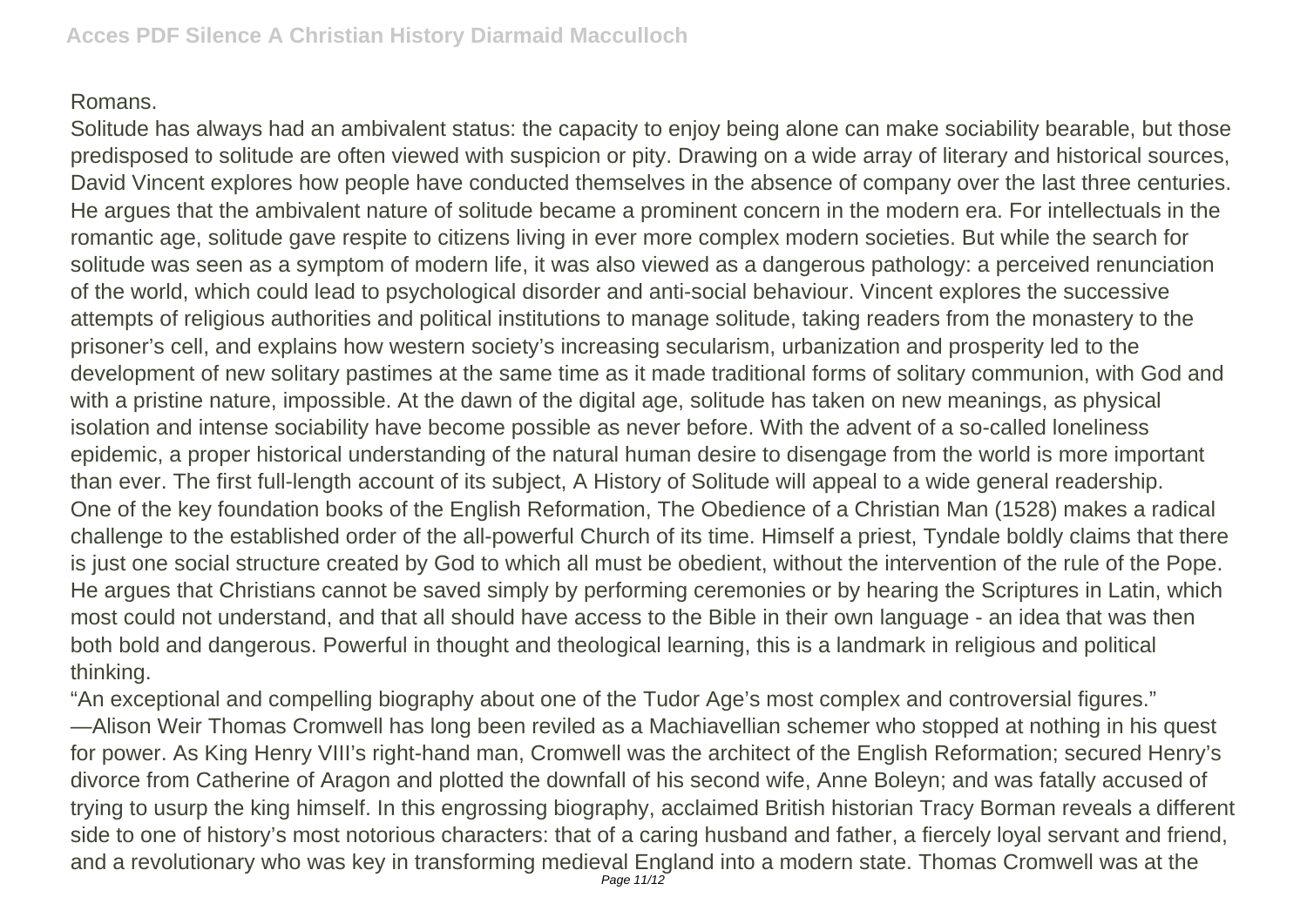## Romans.

Solitude has always had an ambivalent status: the capacity to enjoy being alone can make sociability bearable, but those predisposed to solitude are often viewed with suspicion or pity. Drawing on a wide array of literary and historical sources, David Vincent explores how people have conducted themselves in the absence of company over the last three centuries. He argues that the ambivalent nature of solitude became a prominent concern in the modern era. For intellectuals in the romantic age, solitude gave respite to citizens living in ever more complex modern societies. But while the search for solitude was seen as a symptom of modern life, it was also viewed as a dangerous pathology: a perceived renunciation of the world, which could lead to psychological disorder and anti-social behaviour. Vincent explores the successive attempts of religious authorities and political institutions to manage solitude, taking readers from the monastery to the prisoner's cell, and explains how western society's increasing secularism, urbanization and prosperity led to the development of new solitary pastimes at the same time as it made traditional forms of solitary communion, with God and with a pristine nature, impossible. At the dawn of the digital age, solitude has taken on new meanings, as physical isolation and intense sociability have become possible as never before. With the advent of a so-called loneliness epidemic, a proper historical understanding of the natural human desire to disengage from the world is more important than ever. The first full-length account of its subject, A History of Solitude will appeal to a wide general readership. One of the key foundation books of the English Reformation, The Obedience of a Christian Man (1528) makes a radical challenge to the established order of the all-powerful Church of its time. Himself a priest, Tyndale boldly claims that there is just one social structure created by God to which all must be obedient, without the intervention of the rule of the Pope. He argues that Christians cannot be saved simply by performing ceremonies or by hearing the Scriptures in Latin, which most could not understand, and that all should have access to the Bible in their own language - an idea that was then both bold and dangerous. Powerful in thought and theological learning, this is a landmark in religious and political thinking.

"An exceptional and compelling biography about one of the Tudor Age's most complex and controversial figures." —Alison Weir Thomas Cromwell has long been reviled as a Machiavellian schemer who stopped at nothing in his quest for power. As King Henry VIII's right-hand man, Cromwell was the architect of the English Reformation; secured Henry's divorce from Catherine of Aragon and plotted the downfall of his second wife, Anne Boleyn; and was fatally accused of trying to usurp the king himself. In this engrossing biography, acclaimed British historian Tracy Borman reveals a different side to one of history's most notorious characters: that of a caring husband and father, a fiercely loyal servant and friend, and a revolutionary who was key in transforming medieval England into a modern state. Thomas Cromwell was at the